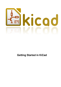

# **Getting Started in KiCad**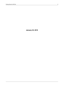**January 22, 2019**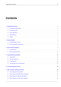# **Contents**

| 1            |     | <b>Introduction to KiCad</b>                                                                                                                                                                                                   | 1  |
|--------------|-----|--------------------------------------------------------------------------------------------------------------------------------------------------------------------------------------------------------------------------------|----|
|              | 1.1 |                                                                                                                                                                                                                                | 2  |
|              | 1.2 | Under GNU/Linux response to the contract of the contract of the contract of the contract of the contract of the contract of the contract of the contract of the contract of the contract of the contract of the contract of th | 2  |
|              | 1.3 |                                                                                                                                                                                                                                | 2  |
|              | 1.4 |                                                                                                                                                                                                                                | 3  |
|              | 1.5 |                                                                                                                                                                                                                                | 3  |
| $\mathbf{2}$ |     | <b>KiCad Workflow</b>                                                                                                                                                                                                          | 4  |
|              | 2.1 |                                                                                                                                                                                                                                | 4  |
|              | 2.2 |                                                                                                                                                                                                                                | 6  |
| 3            |     | <b>Draw electronic schematics</b>                                                                                                                                                                                              | 7  |
|              | 3.1 |                                                                                                                                                                                                                                | 7  |
|              | 3.2 |                                                                                                                                                                                                                                | 19 |
|              |     |                                                                                                                                                                                                                                |    |
| 4            |     | <b>Layout printed circuit boards</b>                                                                                                                                                                                           | 21 |
|              | 4.1 |                                                                                                                                                                                                                                | 21 |
|              | 4.2 |                                                                                                                                                                                                                                | 29 |
|              | 4.3 |                                                                                                                                                                                                                                | 30 |
|              | 4.4 |                                                                                                                                                                                                                                | 30 |
| 5            |     | <b>Forward annotation in KiCad</b>                                                                                                                                                                                             | 32 |
| 6            |     | <b>Make schematic components in KiCad</b>                                                                                                                                                                                      | 34 |
|              | 6.1 |                                                                                                                                                                                                                                | 34 |
|              | 6.2 |                                                                                                                                                                                                                                | 36 |
|              | 6.3 |                                                                                                                                                                                                                                | 37 |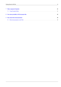| <b>7</b> Make component footprints              |  |
|-------------------------------------------------|--|
|                                                 |  |
| 8 Note about portability of KiCad project files |  |
| 9 More about KiCad documentation                |  |
|                                                 |  |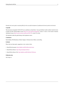*Essential and concise guide to mastering KiCad for the successful development of sophisticated electronic printed circuit boards.*

### **Copyright**

This document is Copyright  $© 2010-2015$  by its contributors as listed below. You may distribute it and/or modify it under the terms of either the GNU General Public License (http://www.gnu.org/licenses/gpl.html), version 3 or later, or the Creative Commons Attribution License (http://creativecommons.org/licenses/by/3.0/), version 3.0 or later.

All trademarks within this guide belong to their legitimate owners.

### **Contributors**

David Jahshan, Phil Hutchinson, Fabrizio Tappero, Christina Jarron, Melroy van den Berg.

### **Feedback**

Please direct any bug reports, suggestions or new versions to here:

- About KiCad document: https://github.com/KiCad/kicad-doc/issues
- About KiCad software: https://bugs.launchpad.net/kicad
- About KiCad software i18n: [https://github.com/KiCad/kicad-i18n/is](https://github.com/KiCad/kicad-doc/issues)sues

### **Publication date**

2015, May 16.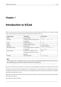# <span id="page-5-0"></span>**Introduction to KiCad**

KiCad is an open-source software tool for the creation of electronic schematic diagrams and PCB artwork. Beneath its singular surface, KiCad incorporates an elegant ensemble of the following stand-alone software tools:

| Program name          | <b>Description</b>                      | <b>File extension</b>                    |
|-----------------------|-----------------------------------------|------------------------------------------|
| KiCad                 | Project manager                         | *.pro                                    |
| Eeschema              | Schematic editor (both schematic and    | $\star$ .sch, $\star$ .lib, $\star$ .net |
|                       | component)                              |                                          |
| CvPcb                 | Footprint selector                      | *.net                                    |
| Pchnew                | Circuit board board editor              | *.kicad pcb                              |
| GerbView              | Gerber viewer                           | All the usual gerbers                    |
| Bitmap2Component      | Convert bitmap images to components     | *.lib, *.kicad_mod, *.                   |
|                       | or footprints                           | kicad wks                                |
| <b>PCB</b> Calculator | Calculator for components, track        | None                                     |
|                       | width, electrical spacing, color codes, |                                          |
|                       | and more                                |                                          |
| Pl Editor             | Page layout editor                      | *.kicad_wks                              |

#### **Note**

The file extension list is not complete and only contains a subset of the files that KiCad works with that is useful for the basic understanding of which files are used for each KiCad unique application.

KiCad can be considered mature enough to be used for the successful development and maintenance of complex electronic boards.

KiCad does not present any board-size limitation and it can easily handle up to 32 copper layers, up to 14 technical layers and up to 4 auxiliary layers. KiCad can create all the files necessary for building printed boards, Gerber files for photo-plotters, drilling files, component location files and a lot more.

Being open source (GPL licensed), KiCad represents the ideal tool for projects oriented towards the creation of electronic hardware with an open-source flavour.

On the Internet, the home of KiCad is: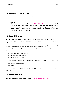## **1.1 [Download](http://www.kicad-pcb.org/) and install KiCad**

<span id="page-6-0"></span>KiCad runs on GNU/Linux, Apple OS X and Windows. You can find the most up to date instructions and download links at:

http://www.kicad-pcb.org/download/

#### **Important**

[KiCad stable releases o](http://www.kicad-pcb.org/download/)ccur periodically per the KiCad Stable Release Policy. New features are continually being added to the development branch. If you would like to take advantage of these new features and help out by testing them, please download the latest nightly build package for your platform. Nightly builds may introduce bugs but it is the goal of the KiCad De[velopment Team to keep the d](http://ci.kicad-pcb.org/job/kicad-doxygen/ws/Documentation/doxygen/html/md_Documentation_development_stable-release-policy.html)evelopment branch as usable as possible during new feature development.

## **1.2 Under GNU/Linux**

<span id="page-6-1"></span>**Stable builds** Stable releases of KiCad can be found in most distribution's package managers as kicad and kicad-doc. If your distribution does not provide latest stable version, please follow the instruction for unstable builds and select and install the latest stable version.

**Unstable (nightly development) builds** Unstable builds are built from the most recent source code. They can sometimes have bugs that cause file corruption, generate bad gerbers, etc, but are generally stable and have the latest features.

Under Ubuntu, the easiest way to install an unstable nightly build of KiCad is via *PPA* and *Aptitude*. Type the following into your Terminal:

sudo add-apt-repository ppa:js-reynaud/ppa-kicad

sudo aptitude update && sudo aptitude safe-upgrade

sudo aptitude install kicad kicad-doc-en

Under Fedora the easiest way to install an unstable nightly build is via *copr*. To install KiCad via copr type the following in to copr:

sudo dnf copr enable mangelajo/kicad

sudo dnf install kicad

Alternatively, you can download and install a pre-compiled version of KiCad, or directly download the source code, compile and install KiCad.

## **1.3 Under Apple OS X**

<span id="page-6-2"></span>**Stable builds** Stable builds of KiCad for OS X can be found at: http://downloads.kicad-pcb.org/osx/stable/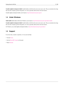**Unstable (nightly development) builds** Unstable builds are built from the most recent source code. They can sometimes have bugs that cause file corruption, generate bad gerbers, etc, but are generally stable and have the latest features.

Unstable nightly development builds can be found at: http://downloads.kicad-pcb.org/osx/

## **1.4 Under Windows**

<span id="page-7-0"></span>**Stable builds** Stable builds of KiCad for Windows can be found at: http://downloads.kicad-pcb.org/windows/stable/

**Unstable (nightly development) builds** Unstable builds are built from the most recent source code. They can sometimes have bugs that cause file corruption, generate bad gerbers, etc, but are generally stable and have the latest features.

For Windows you can find nightly development builds at: http://dow[nloads.kicad-pcb.org/windows/](http://downloads.kicad-pcb.org/windows/stable/)

## **1.5 Support**

<span id="page-7-1"></span>If you have ideas, remarks or questions, or if you just need help:

- Visit the Forum
- Join the #kicad IRC channel on Freenode
- Watch T[utorials](https://forum.kicad.info/)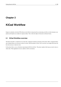# <span id="page-8-0"></span>**KiCad Workflow**

Despite its similarities with other PCB software tools, KiCad is characterised by an interesting work-flow in which schematic components and footprints are actually two separate entities. This is often the subject of discussion on Internet forums.

## <span id="page-8-1"></span>**2.1 KiCad Workflow overview**

The KiCad work-flow is comprised of two main tasks: making the schematic and laying out the board. Both a component library and a footprint library are necessary for these two tasks. KiCad has plenty of both. Just in case that is not enough, KiCad also has the tools necessary to make new ones.

In the picture below, you see a flowchart representing the KiCad work-flow. The picture explains which steps you need to take, in which order. When applicable, the icon is added as well for convenience.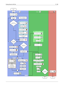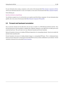For more information about creating a component, see the section of this document titled Make schematic components in KiCad. And for more information about how to create a new footprint, see the section of this document titled Make component footprints.

On the following site:

### http://kicad.rohrbacher.net/quicklib.php

You will find an example of use of a tool that allows you to quickly create KiCad library components. For more information about quicklib, refer to the section of this document titled Make Schematic Components With quicklib.

## **2.2 Forward and backward [annotation](#page-41-0)**

<span id="page-10-0"></span>Once an electronic schematic has been fully drawn, the next step is to transfer it to a PCB following the KiCad work-flow. Once the board layout process has been partially or completely done, additional components or nets might need to be added, parts moved around and much more. This can be done in two ways: Backward Annotation and Forward Annotation.

Backward Annotation is the process of sending a PCB layout change back to its corresponding schematic. Some do not consider this particular feature especially useful.

Forward Annotation is the process of sending schematic changes to a corresponding PCB layout. This is a fundamental feature because you do not really want to re-do the layout of the whole PCB every time you make a modification to your schematic. Forward Annotation is discussed in the section titled Forward Annotation.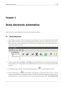# <span id="page-11-0"></span>**Draw electronic schematics**

In this section we are going to learn how to draw an electronic schematic using KiCad.

## <span id="page-11-1"></span>**3.1 Using Eeschema**

1. Under Windows run kicad.exe. Under Linux type *kicad* in your Terminal. You are now in the main window of the KiCad project manager. From here you have access to eight stand-alone software tools: *Eeschema*, *Schematic Library Editor*, *Pcbnew*, *PCB Footprint Editor*, *GerbView*, *Bitmap2Component*, *PCB Calculator* and *Pl Editor*. Refer to the work-flow chart to give you an idea how the main tools are used.



- 2. Create a new project: **File**  $\rightarrow$  **New Project**  $\rightarrow$  **New Project**. Name the project file *tutorial1*. The project file will automatically take the extension ".pro". KiCad prompts to create a dedicated directory, click "Yes" to confirm. All your project files will be saved here.
- 3. Let's begin by creating a schematic. Start the schematic editor *Eeschema*, . It is the first button from the left.
- 4. Click on the *Page Settings* icon **the set on the top toolbar.** Set the Page Size as *A4* and enter the Title as *Tutorial 1*. You will see that more information can be entered here if necessary. Click OK. This information will populate the schematic sheet at the bottom right corner. Use the mouse wheel to zoom in. Save the whole schematic project: **File** → **Save Schematic Project**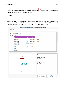5. We will now place our first component. Click on the *Place component* icon in the right toolbar. The same functionality is achieved by pressing the *Place component* shortcut key (*a*).

### **Note**

You can see a list of all available shortcut keys by pressing the ? key.

6. Click on the middle of your schematic sheet. A *Choose Component* window will appear on the screen. We're going to place a resistor. Search / filter on the *R* of **R**esistor. You may notice the *device* heading above the Resistor. This *device* heading is the name of the library where the component is located, which is quite a generic and useful library.

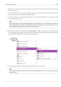- 7. Double click on it. This will close the *Choose Component* window. Place the component in the schematic sheet by clicking where you want it to be.
- 8. Click on the magnifier icon to zoom in on the component. Alternatively, use the mouse wheel to zoom in and zoom out. Press the wheel (central) mouse button to pan horizontally and vertically.
- 9. Try to hover the mouse over the component *R* and press the r key. The component should rotate. You do not need to actually click on the component to rotate it.

#### **Note**

If your mouse was also over the Field Reference  $(R)$  or the Field Value  $(R?)$ , a menu will appear. You will see these Clarify Selection menu often in KiCad, they allow working on objects that are on top of each other. In this case, tell KiCad you want to perform the action on the Component ...R....

10. Right click in the middle of the component and select **Edit Component** → **Value**. You can achieve the same result by hovering over the component and pressing the v key. Alternatively, the e key will take you to the more general Edit window. Notice how the right-click menu below shows shortcut keys for all available actions.



11. The Component value window will appear. Replace the current value *R* with *1 k*. Click OK.

### **Note**

Do not change the Reference field (R?), this will be done automatically later on. The value inside the resistor should now be  $1$   $k$ .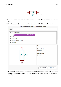



- 12. To place another resistor, simply click where you want the resistor to appear. The Component Selection window will appear again.
- 13. The resistor you previously chose is now in your history list, appearing as *R*. Click OK and place the component.

|                                                                         | <b>Choose Component (2474 items loaded)</b> |                                                                        |
|-------------------------------------------------------------------------|---------------------------------------------|------------------------------------------------------------------------|
| Filter:                                                                 |                                             |                                                                        |
| -- History --<br>▼<br>R<br>74xx<br>⋗<br>adc-dac<br>⋗<br>analog_switches | [ Resistor ]                                |                                                                        |
| atmel<br>⋗                                                              |                                             |                                                                        |
| $\boldsymbol{\alpha}$                                                   |                                             | R<br><b>Description</b><br>Resistor<br><b>Keywords</b><br><b>R DEV</b> |
|                                                                         |                                             | $\times$ Cancel<br>≝ок                                                 |

14. In case you make a mistake and want to delete a component, right click on the component and click *Delete Component*. This will remove the component from the schematic. Alternatively, you can hover over the component you want to delete and press the del key.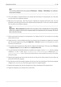#### **Note**

You can edit any default shortcut key by going to **Preferences** → **Hotkeys** → **Edit hotkeys**. Any modification will be saved immediately.

- 15. You can also duplicate a component already on your schematic sheet by hovering over it and pressing the c key. Click where you want to place the new duplicated component.
- 16. Right click on the second resistor. Select *Drag Component*. Reposition the component and left click to drop. The same functionality can be achieved by hovering over the component and by pressing the g key. Use the r key to rotate the component. The x key and the y key will flip the component.

#### **Note**

**Right-Click** → **Move component** (equivalent to the m key option) is also a valuable option for moving anything around, but it is better to use this only for component labels and components yet to be connected. We will see later on why this is the case.

- 17. Edit the second resistor by hovering over it and pressing the v key. Replace *R* with *100*. You can undo any of your editing actions with the ctrl+z key.
- 18. Change the grid size. You have probably noticed that on the schematic sheet all components are snapped onto a large pitch grid. You can easily change the size of the grid by **Right-Click** → **Grid select**. *In general, it is recommended to use a grid of 50.0 mils for the schematic sheet*.
- 19. We are going to add a component from a library that isn't configured in the default project. In the menu, choose **Preferences** → **Component Libraries** and click the **Add** button for **Component library files**.
- 20. You need to find where the official KiCad libraries are installed on your computer. Look for a library directory containing a hundred of .dcm and .lib files. Try in C:\Program Files (x86)\KiCad\share\ (Windows) and /usr/ share/kicad/library/ (Linux). When you have found the directory, choose and add the *microchip\_pic12mcu* library and close the window.
- 21. Repeat the add-component steps, however this time select the *microchip\_pic12mcu* library instead of the *device* library and pick the *PIC12C508A-I/SN* component.
- 22. Hover the mouse over the microcontroller component. Press the y key or the x key on the keyboard. Notice how the component is flipped over its x axis or its y axis. Press the key again to return it to its original orientation.
- 23. Repeat the add-component steps, this time choosing the *device* library and picking the *LED* component from it.
- 24. Organise all components on your schematic sheet as shown below.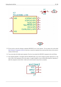

- 25. We now need to create the schematic component *MYCONN3* for our 3-pin connector. You can jump to the section titled Make Schematic Components in KiCad to learn how to make this component from scratch and then return to this section to continue with the board.
- 26. You can now place the freshly made component. Press the *a* key and pick the *MYCONN3* component in the *myLib* library.
- 27. The component identifier *J?* will appear under the *MYCONN3* label. If you want to change its position, right click on *J?* and click on *Move Field* (equivalent to the m key option). It might be helpful to zoom in before/while doing this. Reposition *J?* under the component as shown below. Labels can be moved around as many times as you please.

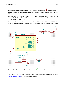- 28. It is time to place the power and ground symbols. Click on the *Place a power port* button **or** on the right toolbar. Alternatively, press the *p* key. In the component selection window, scroll down and select *VCC* from the *power* library. Click OK.
- 29. Click above the pin of the 1 k resistor to place the VCC part. Click on the area above the microcontroller *VDD*. In the *Component Selection history* section select *VCC* and place it next to the VDD pin. Repeat the add process again and place a VCC part above the VCC pin of *MYCONN3*.
- 30. Repeat the add-pin steps but this time select the GND part. Place a GND part under the GND pin of *MYCONN3*. Place another GND symbol on the right of the VSS pin of the microcontroller. Your schematic should now look something like this:



31. Next, we will wire all our components. Click on the *Place wire* icon on the right toolbar.

### **Note**

Be careful not to pick Place a bus, which appears directly beneath this button but has thicker lines. The section Bus Connections in KiCad will explain how to use a bus section.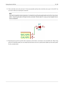32. Click on the little circle at the end of pin 7 of the microcontroller and then click on the little circle on pin 2 of the LED. You can zoom in while you are placing the connection.

### **Note**

If you want to reposition wired components, it is important to use the g key (grab) option and not the m key (move) option. Using the grab option will keep the wires connected. Review step 24 in case you have forgotten how to move a component.



33. Repeat this process and wire up all the other components as shown below. To terminate a wire just double-click. When wiring up the VCC and GND symbols, the wire should touch the bottom of the VCC symbol and the middle top of the GND symbol. See the screenshot below.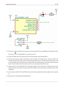

34. We will now consider an alternative way of making a connection using labels. Pick a net labelling tool by clicking on the *Place*

*net name* icon **on** the right toolbar. You can also use the l key.

- 35. Click in the middle of the wire connected to pin 6 of the microcontroller. Name this label *INPUT*.
- 36. Follow the same procedure and place another label on line on the right of the 100 ohm resistor. Also name it *INPUT*. The two labels, having the same name, create an invisible connection between pin 6 of the PIC and the 100 ohm resistor. This is a useful technique when connecting wires in a complex design where drawing the lines would make the whole schematic messier. To place a label you do not necessarily need a wire, you can simply attach the label to a pin.
- 37. Labels can also be used to simply label wires for informative purposes. Place a label on pin 7 of the PIC. Enter the name *uCtoLED*. Name the wire between the resistor and the LED as *LEDtoR*. Name the wire between *MYCONN3* and the resistor as *INPUTtoR*.
- 38. You do not have to label the VCC and GND lines because the labels are implied from the power objects they are connected to.
- 39. Below you can see what the final result should look like.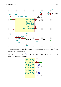**VCC** 

IC?

8

VDD

VSS



GND **MYCONN3 VCC INPUTtoR** INPU **INPUT** 100 ٦ RZ GND 7 GND

**VCC** 

- 40. Let's now deal with unconnected wires. Any pin or wire that is not connected will generate a warning when checked by KiCad. To avoid these warnings you can either instruct the program that the unconnected wires are deliberate or manually flag each unconnected wire or pin as unconnected.
- 41. Click on the *Place no connect flag* icon on the right toolbar. Click on pins 2, 3, 4 and 5. An X will appear to signify that the lack of a wire connection is intentional.

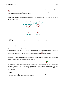42. Some components have power pins that are invisible. You can make them visible by clicking on the *Show hidden pins* icon

on the left toolbar. Hidden power pins get automatically connected if VCC and GND naming is respected. Generally speaking, you should try not to make hidden power pins.

43. It is now necessary to add a *Power Flag* to indicate to KiCad that power comes in from somewhere. Press the a key, select *List All*, double click on the *power* library and search for *PWR\_FLAG*. Place two of them. Connect them to a GND pin and to VCC as shown below.



### **Note**

This will avoid the classic schematic checking warning: Warning Pin power in not driven (Net xx)

44. Sometimes it is good to write comments here and there. To add comments on the schematic use the *Place graphic text*

*(comment)* icon  $\blacksquare$  on the right toolbar.

45. All components now need to have unique identifiers. In fact, many of our components are still named *R?* or *J?*. Identifier U?A

assignation can be done automatically by clicking on the *Annotate schematic* icon  $\mathbb{V}_{123}$  on the top toolbar.

- 46. In the Annotate Schematic window, select *Use the entire schematic* and click on the *Annotation* button. Click OK in the confirmation message and then click *Close*. Notice how all the *?* have been replaced with numbers. Each identifier is now unique. In our example, they have been named *R1*, *R2*, *U1*, *D1* and *J1*.
- 47. We will now check our schematic for errors. Click on the *Perform electrical rules check* icon on the *Run* button. A report informing you of any errors or warnings such as disconnected wires is generated. You should have 0 Errors and 0 Warnings. In case of errors or warnings, a small green arrow will appear on the schematic in the position where the error or the warning is located. Check *Create ERC file report* and press the *Run* button again to receive more information about the errors.

### **Note**

If you have a warning with "No default editor found you must choose it", try setting the path to  $c:\wedge\sin\cos\theta$ notepad.exe (windows) or /usr/bin/gedit (Linux).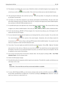- 48. The schematic is now finished. We can now create a Netlist file to which we will add the footprint of each component. Click on the *Generate netlist* icon **NET** on the top toolbar. Click on the *Generate* button and save under the default file name.
	-
- 49. After generating the Netlist file, click on the *Run Cvpcb* icon **on** the top toolbar. If a missing file error window pops up, just ignore it and click OK.
- 50. *Cvpcb* allows you to link all the components in your schematic with footprints in the KiCad library. The pane on the center shows all the components used in your schematic. Here select *D1*. In the pane on the right you have all the available footprints, here scroll down to *LEDs:LED-5MM* and double click on it.
- 51. It is possible that the pane on the right shows only a selected subgroup of available footprints. This is because KiCad is trying 888 **JULIO** 머며 to suggest to you a subset of suitable footprints. Click on the icons  $\mathbf{F}$ ,  $\mathbf{F}$ ,  $\mathbf{F}$  and  $\mathbf{F}$  to enable or disable these filters.
- 52. For *IC1* select the *Housings\_DIP:DIP-8\_W7.62mm* footprint. For *J1* select the *Connect:Banana\_Jack\_3Pin* footprint. For *R1* and *R2* select the *Discret:R1* footprint.
- 53. If you are interested in knowing what the footprint you are choosing looks like, you have two options. You can click on the

*View selected footprint* icon for a preview of the current footprint. Alternatively, click on the *Display footprint list* 

*documentation* icon and you will get a multi-page PDF document with all available footprints. You can print it out and check your components to make sure that the dimensions match.

54. You are done. You can now update your netlist file with all the associated footprints. Click on **File** → **Save As**. The default

name *tutorial1.net* is fine, click save. Otherwise you can use the icon . Your netlist file has now been updated with all the footprints. Note that if you are missing the footprint of any device, you will need to make your own footprints. This will be explained in a later section of this document.

- 55. You can close *Cvpcb* and go back to the *Eeschema* schematic editor. Save the project by clicking on **File** → **Save Whole Schematic Project**. Close the schematic editor.
- 56. Switch to the KiCad project manager.
- 57. The netlist file describes all components and their respective pin connections. The netlist file is actually a text file that you can easily inspect, edit or script.

#### **Note**

Library files (\*.lib) are text files too and they are also easily editable or scriptable.

58. To create a Bill Of Materials (BOM), go to the *Eeschema* schematic editor and click on the *Bill of materials* icon **BOM** on the top toolbar. By default there is no plugin active. You add one, by clicking on **Add Plugin** button. Select the \*.xsl file you want to use, in this case, we select *bom2csv.xsl*.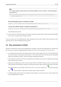#### **Note**

The \*.xsl file is located in *plugins* directory of the KiCad installation, which is located at: /usr/lib/kicad/plugins/. Or get the file via:

```
wget https://raw.githubusercontent.com/KiCad/kicad-source-mirror/master/eeschema/ ←-
   plugins/bom2csv.xsl
```
#### **KiCad automatically generates the command, for example:**

```
xsltproc -o "%O" "/home/<user>/kicad/eeschema/plugins/bom2csv.xsl" "%I"
```
**You may want to add the extension, so change this command line to:**

xsltproc -o "%O.csv" "/home/<user>/kicad/eeschema/plugins/bom2csv.xsl" "%I"

Press Help button for more info.

59. Now press *Generate*. The file (same name as your project) is located in your project folder. Open the **\*.csv** file with LibreOffice Calc or Excel. An import window will appear, press OK.

You are now ready to move to the PCB layout part, which is presented in the next section. However, before moving on let's take a quick look at how to connect component pins using a bus line.

## <span id="page-23-0"></span>**3.2 Bus connections in KiCad**

Sometimes you might need to connect several sequential pins of component A with some other sequential pins of component B. In this case you have two options: the labelling method we already saw or the use of a bus connection. Let's see how to do it.

- 1. Let us suppose that you have three 4-pin connectors that you want to connect together pin to pin. Use the label option (press the l key) to label pin 4 of the P4 part. Name this label *a1*. Now let's press the Ins key to have the same item automatically added on the pin below pin 4 (PIN 3). Notice how the label is automatically renamed *a2*.
- 2. Press the Ins Key two more times. The Ins key corresponds to the action *Repeat last item* and it is an infinitely useful command that can make your life a lot easier.
- 3. Repeat the same labelling action on the two other connectors CONN\_2 and CONN\_3 and you are done. If you proceed and make a PCB you will see that the three connectors are connected to each other. Figure 2 shows the result of what we described.

For aesthetic purposes it is also possible to add a series of *Place wire to bus entry* using the icon and bus line using the

as shown in Figure 3. Mind, however, that there will be no effect on the PCB.

4. It should be pointed out that the short wire attached to the pins in Figure 2 is not strictly necessary. In fact, the labels could have been applied directly to the pins.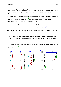- 5. Let's take it one step further and suppose that you have a fourth connector named CONN\_4 and, for whatever reason, its labelling happens to be a little different (b1, b2, b3, b4). Now we want to connect *Bus a* with *Bus b* in a pin to pin manner. We want to do that without using pin labelling (which is also possible) but by instead using labelling on the bus line, with one label per bus.
- 6. Connect and label CONN\_4 using the labelling method explained before. Name the pins b1, b2, b3 and b4. Connect the pin to a series of *Wire to bus entry* using the icon and to a bus line using the icon . See Figure 4.
- 7. Put a label (press the l key option) on the bus of CONN\_4 and name it *b[1..4]*.
- 8. Put a label (press the l key option) on the previous a bus and name it *a[1..4]*.
- 9. What we can now do is connect bus  $a[1..4]$  with bus  $b[1..4]$  using a bus line with the button
- 10. By connecting the two buses together, pin a1 will be automatically connected to pin b1, a2 will be connected to b2 and so on. Figure 4 shows what the final result looks like.

#### **Note**

The Repeat last item option accessible via the Ins key can be successfully used to repeat period item insertions. For instance, the short wires connected to all pins in Figure 2, Figure 3 and Figure 4 have been placed with this option.

11. The *Repeat last item* option accessible via the Ins key has also been extensively used to place the many series of *Wire to bus entry* using the *icon* 

| 4<br>M<br>CONN<br>문                        | .a1<br><u>ැවී</u><br>┯<br><b>CONN.</b><br>ď<br>18.<br><b>a4</b> | <u>a1</u><br>$rac{a2}{a3}$<br>у.<br><b>CONN</b><br>Σ<br>a <sub>4</sub>   | b[14]<br>∤a[1…4]<br><u>.aa</u><br>a2<br>n<br><u>11</u><br>o<br><b>CONN_</b><br>$\overline{a3}$<br>$\tilde{\mathbf{z}}$<br><u>בֿל</u><br>٩<br>a <sub>4</sub><br><b>CONN.</b><br>ΪJ<br>Σ<br>$\pm$ |  |
|--------------------------------------------|-----------------------------------------------------------------|--------------------------------------------------------------------------|-------------------------------------------------------------------------------------------------------------------------------------------------------------------------------------------------|--|
| $\mathbb{R}^n$<br><b>KRIS</b><br><u> 2</u> | $\frac{a_1}{a_2}$<br><b>CONN.</b><br>뚪<br><u>a3</u><br>.a4      | <u>a1</u><br>a2<br><b>CONN</b><br>$\overline{a3}$<br>운<br>a <sub>4</sub> | $\mathbf{a1}$<br>a2<br><b>LINIO</b><br>↽<br>$\overline{a3}$<br><u>ټ</u><br><u>a4</u>                                                                                                            |  |
| m<br><b>CONN</b><br>52                     | <u> 14</u><br><b>a2</b><br><b>CONN.</b><br>ٷ<br>а3<br>رکھے      | a1<br>4<br>a2<br><b>RINC</b><br>ድ<br>a <sub>3</sub><br><u>e 4</u>        | .a1<br>M<br>a2<br><b>CONN</b><br>a <sub>3</sub><br>운<br>$\Delta$                                                                                                                                |  |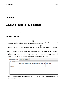# <span id="page-25-0"></span>**Layout printed circuit boards**

It is now time to use the netlist file you generated to lay out the PCB. This is done with the *Pcbnew* tool.

## <span id="page-25-1"></span>**4.1 Using Pcbnew**

- 1. From the KiCad project manager, click on the *Pcbnew* icon . The *Pcbnew* window will open. If you get an error message saying that a *\*.kicad\_pcb* file does not exist and asks if you want to create it, just click Yes.
- 2. Begin by entering some schematic information. Click on the *Page settings* icon **only in the top toolbar.** Set *paper size* as *A4* and *title* as *Tutorial1*.
- 3. It is a good idea to start by setting the **clearance** and the **minimum track width** to those required by your PCB manufacturer. In general you can set the clearance to  $0.25$  and the minimum track width to  $0.25$ . Click on the **Design Rules**  $\rightarrow$  **Design Rules** menu. If it does not show already, click on the *Net Classes Editor* tab. Change the *Clearance* field at the top of the window to *0.25* and the *Track Width* field to *0.25* as shown below. Measurements here are in mm.

| Net Classes Editor<br>Net Classes: | Global Design Rules |                                                             |     |     |     |     |
|------------------------------------|---------------------|-------------------------------------------------------------|-----|-----|-----|-----|
|                                    |                     | Clearance Track Width Via Dia Via Drill uVia Dia uVia Drill |     |     |     |     |
| <b>Default</b>                     | 0.25                | 0.25                                                        | 0.6 | 0.4 | 0.3 | 0.1 |

4. Click on the *Global Design Rules* tab and set *Min track width* to 0.25'. Click the OK button to commit your changes and close the Design Rules Editor window.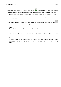- 5. Now we will import the netlist file. Click on the *Read Netlist* icon **NET** on the top toolbar. Click on the *Browse Netlist Files* button, select *tutorial1.net* in the File selection dialogue, and click on *Read Current Netlist*. Then click the *Close* button.
- 6. All components should now be visible in the top left hand corner just above the page. Scroll up if you cannot see them.
- 7. Select all components with the mouse and move them to the middle of the board. If necessary you can zoom in and out while you move the components.
- 8. All components are connected via a thin group of wires called *ratsnest*. Make sure that the *Hide board ratsnest* button is pressed. In this way you can see the ratsnest linking all components.

#### **Note**

The tool-tip is backwards; pressing this button actually displays the ratsnest.

9. You can move each component by hovering over it and pressing the g key. Click where you want to place them. Move all components around until you minimise the number of wire crossovers.

#### **Note**

If instead of grabbing the components (with the g key ) you move them around using the m key you will later note that you lose the track connection (the same occurs in the schematic editor). Bottom line, always use the g key option.

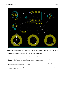

- 10. If the ratsnest disappears or the screen gets messy, right click and click *Redraw view*. Note how one pin of the 100 ohm resistor is connected to pin 6 of the PIC component. This is the result of the labelling method used to connect pins. Labels are often preferred to actual wires because they make the schematic much less messy.
- 11. Now we will define the edge of the PCB. Select *Edge.Cuts* from the drop-down menu in the top toolbar. Click on the *Add graphic line or polygon* icon **on** the right toolbar. Trace around the edge of the board, clicking at each corner, and

remember to leave a small gap between the edge of the green and the edge of the PCB.

- 12. Next, connect up all the wires except GND. In fact, we will connect all GND connections in one go using a ground plane placed on the bottom copper (called *B.Cu*) of the board.
- 13. Now we must choose which copper layer we want to work on. Select *F.Cu (PgUp)* in the drop-down menu on the top toolbar. This is the front top copper layer.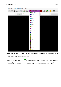| nensions                                   | <b>IOOIS</b> |                         | Design Rules |   |                | Help |    |                               |  |           |  |                         |  |  |  |
|--------------------------------------------|--------------|-------------------------|--------------|---|----------------|------|----|-------------------------------|--|-----------|--|-------------------------|--|--|--|
| $P_1 \curvearrowleft P_2 \curvearrowright$ |              |                         |              |   |                |      | 論意 | F.Cu (PgUp)                   |  |           |  | ●■■ 第 ● ■               |  |  |  |
| 23,6 mils) *                               |              | $\overline{\mathbf{v}}$ |              | 圭 | Grid: 0,2500 m |      |    | B.Cu (PgDn)<br><b>B.Adhes</b> |  | Zoom Auto |  | $\overline{\mathbb{V}}$ |  |  |  |
|                                            |              |                         |              |   |                |      |    | <b>F.Adhes</b>                |  |           |  |                         |  |  |  |
|                                            |              |                         |              |   |                |      |    | <b>B.Paste</b>                |  |           |  |                         |  |  |  |
|                                            |              |                         |              |   |                |      |    | <b>F.Paste</b>                |  |           |  |                         |  |  |  |
|                                            |              |                         |              |   |                |      |    | <b>B.SilkS</b>                |  |           |  |                         |  |  |  |
|                                            |              |                         |              |   |                |      |    | $R$ F.SilkS                   |  |           |  |                         |  |  |  |
|                                            |              |                         |              |   |                |      |    | B.Mask                        |  |           |  |                         |  |  |  |
|                                            |              |                         |              |   |                |      |    | <b>F.Mask</b>                 |  |           |  |                         |  |  |  |
|                                            |              |                         |              |   |                |      |    | Dwgs.User                     |  |           |  |                         |  |  |  |
|                                            |              |                         |              |   |                |      |    | Cmts.User                     |  |           |  |                         |  |  |  |
|                                            |              |                         |              |   |                |      |    | Eco1.User                     |  |           |  |                         |  |  |  |
|                                            |              |                         |              |   |                |      |    | Eco2.User                     |  |           |  |                         |  |  |  |
|                                            |              |                         |              |   |                |      |    | Edge.Cuts                     |  |           |  |                         |  |  |  |
|                                            |              |                         |              |   |                |      |    | Margin                        |  |           |  |                         |  |  |  |
|                                            |              |                         |              |   |                |      |    | B.CrtYd                       |  |           |  |                         |  |  |  |
|                                            |              |                         |              |   |                |      |    | $\blacksquare$ F.CrtYd        |  |           |  |                         |  |  |  |
|                                            |              |                         |              |   |                |      |    | <b>B.Fab</b>                  |  |           |  |                         |  |  |  |
|                                            |              |                         |              |   |                |      |    | $E$ F.Fab                     |  |           |  |                         |  |  |  |
|                                            |              |                         |              |   |                |      |    |                               |  |           |  |                         |  |  |  |

- 14. If you decide, for instance, to do a 4 layer PCB instead, go to **Design Rules** → **Layers Setup** and change *Copper Layers* to 4. In the *Layers* table you can name layers and decide what they can be used for. Notice that there are very useful presets that can be selected via the *Preset Layer Groupings* menu.
- 15. Click on the *Add Tracks and vias* icon on the right toolbar. Click on pin 1 of *J1* and run a track to pad *R2*. Double-click to set the point where the track will end. The width of this track will be the default 0.250 mm. You can change the track width from the drop-down menu in the top toolbar. Mind that by default you have only one track width available.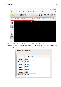

16. If you would like to add more track widths go to: **Design Rules** → **Design Rules** → **Global Design Rules** tab and at the bottom right of this window add any other width you would like to have available. You can then choose the widths of the track from the drop-down menu while you lay out your board. See the example below (inches).

| <b>Custom Track Widths:</b> |        |
|-----------------------------|--------|
|                             |        |
|                             | Width  |
| Track 1                     | 0.0100 |
| Track 2                     | 0.0200 |
| Track 3                     | 0.0500 |
| <b>Track 4</b>              | 0.0800 |
| <b>Track 5</b>              | 0.1000 |
| Track 6                     | 0.1500 |
| <b>Track 7</b>              | 0.2000 |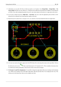- 17. Alternatively, you can add a Net Class in which you specify a set of options. Go to **Design Rules** → **Design Rules** → **Net Classes Editor** and add a new class called *power*. Change the track width from 8 mil (indicated as 0.0080) to 24 mil (indicated as 0.0240). Next, add everything but ground to the *power* class (select *default* at left and *power* at right and use the arrows).
- 18. If you want to change the grid size, **Right click** → **Grid Select**. Be sure to select the appropriate grid size before or after laying down the components and connecting them together with tracks.
- 19. Repeat this process until all wires, except pin 3 of J1, are connected. Your board should look like the example below.



20. Let's now run a track on the other copper side of the PCB. Select *B.Cu* in the drop-down menu on the top toolbar. Click on

the *Add tracks and vias* icon . Draw a track between pin 3 of J1 and pin 8 of U1. This is actually not necessary since we could do this with the ground plane. Notice how the colour of the track has changed.

21. **Go from pin A to pin B by changing layer**. It is possible to change the copper plane while you are running a track by placing a via. While you are running a track on the upper copper plane, right click and select *Place Via* or simply press the v key. This will take you to the bottom layer where you can complete your track.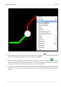| <b>Contractor</b> |                            |                |
|-------------------|----------------------------|----------------|
|                   | Cancel                     |                |
|                   | <b>End Track</b>           | End            |
|                   | Place Via                  |                |
|                   | Switch Track Posture       |                |
|                   | Select Track Width         |                |
|                   | <b>Delete</b>              |                |
|                   | <b>Set Flags</b>           |                |
|                   | Select Working Layer       |                |
|                   | Select Layer Pair for Vias |                |
|                   | Center                     | F4             |
|                   | Zoom in                    | F1             |
|                   | Zoom out                   | F <sub>2</sub> |
|                   | Redraw view                | F3             |
|                   | Zoom auto                  | Home           |
|                   | Zoom select                |                |
|                   | <b>Grid Select</b>         |                |
|                   | Close                      |                |

- 22. When you want to inspect a particular connection you can click on the *Net highlight* icon **on** the right toolbar. Click on pin 3 of J1. The track itself and all pads connected to it should become highlighted.
- 23. Now we will make a ground plane that will be connected to all GND pins. Click on the *Add Zones* icon **on** the right toolbar. We are going to trace a rectangle around the board, so click where you want one of the corners to be. In the dialogue that appears, set *Pad in Zone* to *Thermal relief* and *Zone edges orient* to *H,V* and click OK.
- 24. Trace around the outline of the board by clicking each corner in rotation. Double-click to finish your rectangle. Right click inside the area you have just traced. Click on *Fill or Refill All Zones*. The board should fill in with green and look something like this: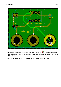

- 25. Run the design rules checker by clicking on the *Perform Design Rules Check* icon **on** the top toolbar. Click on *Start DRC*. There should be no errors. Click on *List Unconnected*. There should be no unconnected track. Click OK to close the DRC Control dialogue.
- 26. Save your file by clicking on **File** → **Save**. To admire your board in 3D, click on **View** → **3D Viewer**.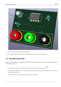

- 27. You can drag your mouse around to rotate the PCB.
- 28. Your board is complete. To send it off to a manufacturer you will need to generate all Gerber files.

## <span id="page-33-0"></span>**4.2 Generate Gerber files**

Once your PCB is complete, you can generate Gerber files for each layer and send them to your favourite PCB manufacturer, who will make the board for you.

- 1. From KiCad, open the *Pcbnew* software tool and load your board file by clicking on the icon .
- 2. Click on **File** → **Plot**. Select *Gerber* as the *Plot Format* and select the folder in which to put all Gerber files. Proceed by clicking on the *Plot* button.
- 3. These are the layers you need to select for making a typical 2-layer PCB: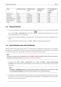| Layer                       | <b>KiCad Layer Name</b> | <b>Old KiCad Layer</b> | <b>Default Gerber</b> | "Use Protel filename" |
|-----------------------------|-------------------------|------------------------|-----------------------|-----------------------|
|                             |                         | <b>Name</b>            | <b>Extension</b>      | extensions" is        |
|                             |                         |                        |                       | enabled               |
| <b>Bottom Layer</b>         | B.Cu                    | Copper                 | .GBR                  | .GBL                  |
| Top Layer                   | F.Cu                    | Component              | .GBR                  | .GTL                  |
| Top Overlay                 | <b>F.SilkS</b>          | SilkS_Cmp              | .GBR                  | .GTO                  |
| <b>Bottom Solder Resist</b> | <b>B.Mask</b>           | Mask_Cop               | .GBR                  | .GBS                  |
| Top Solder Resist           | F.Mask                  | Mask_Cmp               | .GBR                  | .GTS                  |
| Edges                       | Edge.Cuts               | Edges_Pcb              | .GBR                  | .GM1                  |

## **4.3 Using GerbView**

<span id="page-34-0"></span>1. To view all your Gerber files go to the KiCad project manager and click on the *GerbView* icon. On the drop-down menu select

*Layer 1*. Click on **File** → **Load Gerber file** or click on the icon **DITU**. Load all generated Gerber files one at a time. Note how they all get displayed one on top of the other.

חונו

- 2. Use the menu on the right to select/deselect which layer to show. Carefully inspect each layer before sending them for production.
- 3. To generate the drill file, from *Pcbnew* go again to the **File**  $\rightarrow$  **Plot** option. Default settings should be fine.

## **4.4 Automatically route with FreeRouter**

Routing a board by hand is quick and fun, however, for a board with lots of components you might want to use an autorouter. Remember that you should first route critical traces by hand and then set the autorouter to do the boring bits. Its work will only account for the unrouted traces. The autorouter we will use here is FreeRouter from *freerouting.net*.

### **Note**

Freerouter is an open source java application, and it is needed to build by yourself to use with KiCad. Source code of Freerouter can be found on this site: https://github.com/nikropht/FreeRouting

1. From *Pcbnew* click on **File** → **Export** → **Specctra DSN** or click on **Tools** → **FreeRoute** → **Export a Specctra Design (\*.dsn) file** and save the file locally. [Launch FreeRouter and click on the](https://github.com/nikropht/FreeRouting) *Open Your Own Design* button, browse for the *dsn* file and load it.

#### **Note**

The **Tools** → **FreeRoute** dialog has a nice help button that opens a file viewer with a little document inside named **Freerouter Guidelines**. Please follow these guidelines to use FreeRoute effectively.

2. FreeRouter has some features that KiCad does not currently have, both for manual routing and for automatic routing. FreeRouter operates in two main steps: first, routing the board and then optimising it. Full optimisation can take a long time, however you can stop it at any time need be.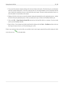- 3. You can start the automatic routing by clicking on the *Autorouter* button on the top bar. The bottom bar gives you information about the on-going routing process. If the *Pass* count gets above 30, your board probably can not be autorouted with this router. Spread your components out more or rotate them better and try again. The goal in rotation and position of parts is to lower the number of crossed airlines in the ratsnest.
- 4. Making a left-click on the mouse can stop the automatic routing and automatically start the optimisation process. Another left-click will stop the optimisation process. Unless you really need to stop, it is better to let FreeRouter finish its job.
- 5. Click on the **File** → **Export Specctra Session File** menu and save the board file with the *.ses* extension. You do not really need to save the FreeRouter rules file.
- 6. Back to *Pcbnew*. You can import your freshly routed board by clicking on the link **Tools** → **FreeRoute** and then on the icon *Back Import the Spectra Session (.ses) File* and selecting your *.ses* file.

If there is any routed trace that you do not like, you can delete it and re-route it again, using the del key and the routing tool, which

is the *Add tracks* icon on the right toolbar.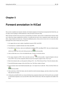# <span id="page-36-0"></span>**Forward annotation in KiCad**

Once you have completed your electronic schematic, the footprint assignment, the board layout and generated the Gerber files, you are ready to send everything to a PCB manufacturer so that your board can become reality.

Often, this linear work-flow turns out to be not so uni-directional. For instance, when you have to modify/extend a board for which you or others have already completed this work-flow, it is possible that you need to move components around, replace them with others, change footprints and much more. During this modification process, what you do not want to do is to re-route the whole board again from scratch. Instead, this is how you do it:

- 1. Let's suppose that you want to replace a hypothetical connector CON1 with CON2.
- 2. You already have a completed schematic and a fully routed PCB.
- 3. From KiCad, start *Eeschema*, make your modifications by deleting CON1 and adding CON2. Save your schematic project
	- with the icon and c lick on the *Netlist generation* icon  $\bf{NET}$  on the top toolbar.
- 4. Click on *Netlist* then on *save*. Save to the default file name. You have to rewrite the old one.
- 5. Now assign a footprint to CON2. Click on the *Run Cvpcb* icon **ill on** the top toolbar. Assign the footprint to the new device CON2. The rest of the components still have the previous footprints assigned to them. Close *Cvpcb*.
- 6. Back in the schematic editor, save the project by clicking on *File* → *Save Whole Schematic Project*. Close the schematic editor.
- 7. From the KiCad project manager, click on the *Pcbnew* icon. The *Pcbnew* window will open.
- 8. The old, already routed, board should automatically open. Let's import the new netlist file. Click on the *Read Netlist* icon  $\overline{\text{NET}}$  on the top toolbar.
- 9. Click on the *Browse Netlist Files* button, select the netlist file in the file selection dialogue, and click on *Read Current Netlist*. Then click the *Close* button.
- 10. At this point you should be able to see a layout with all previous components already routed. On the top left corner you should see all unrouted components, in our case the CON2. Select CON2 with the mouse. Move the component to the middle of the board.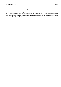11. Place CON2 and route it. Once done, save and proceed with the Gerber file generation as usual.

The process described here can easily be repeated as many times as you need. Beside the Forward Annotation method described above, there is another method known as Backward Annotation. This method allows you to make modifications to your already routed PCB from Pcbnew and updates those modifications in your schematic and netlist file. The Backward Annotation method, however, is not that useful and is therefore not described here.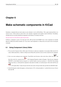# <span id="page-38-0"></span>**Make schematic components in KiCad**

Sometimes a component that you want to place on your schematic is not in a KiCad library. This is quite normal and there is no reason to worry. In this section we will see how a new schematic component can be quickly created with KiCad. Nevertheless, remember that you can always find KiCad components on the Internet. For instance from here:

http://per.launay.free.fr/kicad/kicad\_php/composant.php

In KiCad, a component is a piece of text that starts with a *DEF* and ends with *ENDDEF*. One or more components are normally placed in a library file with the extension *.lib*. If you want to add components to a library file you can just use the cut and paste [commands.](http://per.launay.free.fr/kicad/kicad_php/composant.php)

## **6.1 Using Component Library Editor**

- <span id="page-38-1"></span>1. We can use the *Component Library Editor* (part of *Eeschema*) to make new components. In our project folder *tutorial1* let's create a folder named *library*. Inside we will put our new library file *myLib.lib* as soon as we have created our new component.
- 2. Now we can start creating our new component. From KiCad, start *Eeschema*, click on the *Library Editor* icon and then click on the *New component* icon  $\mathcal{H}$ . The Component Properties window will appear. Name the new component *MYCONN3*, set the *Default reference designator* as *J*, and the *Number of parts per package* as *1*. Click OK. If the warning appears just click yes. At this point the component is only made of its labels. Let's add some pins. Click on the *Add Pins* icon Α

on the right toolbar. To place the pin, left click in the centre of the part editor sheet just below the *MYCONN3* label.

3. In the Pin Properties window that appears, set the pin name to *VCC*, set the pin number to *1*, and the *Electrical type* to *Passive* then click OK.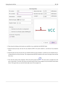Pin name:

Pin number:

Orientation:

Electrical type:

| <b>VCC</b><br>$\mathbf{1}$<br>▵<br>어 Right<br>₩ | Name text size:<br>Number text size: 1.270<br>Length: | 1.270 | millimeters<br>millimeters<br>millimeters |
|-------------------------------------------------|-------------------------------------------------------|-------|-------------------------------------------|
|                                                 |                                                       |       |                                           |
|                                                 |                                                       |       |                                           |
|                                                 |                                                       | 5.080 |                                           |
| ▲<br>> Power input<br>Δ                         |                                                       |       |                                           |
| ▲<br>Line<br>Δ                                  |                                                       |       |                                           |

| Graphic Style:<br>$\vdash$ Line                                                     | ▵<br>v |                 |     |
|-------------------------------------------------------------------------------------|--------|-----------------|-----|
| Sharing<br>Common to all units in component<br>Common to all body styles (DeMorgan) |        |                 | VCC |
| Schematic Properties<br>Visible                                                     |        |                 |     |
|                                                                                     |        | $\times$ Cancel | OK  |

- 4. Place the pin by clicking on the location you would like it to go, right below the *MYCONN3* label.
- 5. Repeat the place-pin steps, this time *Pin name* should be *INPUT*, *Pin number* should be *2*, and *Electrical Type* should be *Passive*.
- 6. Repeat the place-pin steps, this time *Pin name* should be *GND*, *Pin number* should be *3*, and *Electrical Type* should be *Passive*. Arrange the pins one on top of the other. The component label *MYCONN3* should be in the centre of the page (where the blue lines cross).
- 7. Next, draw the contour of the component. Click on the *Add rectangle* icon . We want to draw a rectangle next to the pins, as shown below. To do this, click where you want the top left corner of the rectangle to be (do not hold the mouse button down). Click again where you want the bottom right corner of the rectangle to be.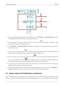

- 8. If you want to fill the rectangle with yellow, set the fill colour to *yellow 4* in **Preferences** → **Select color scheme**, then select the rectangle in the editing screen and edit (E), selecting *Fill background*.
- 9. Save the component in your library *myLib.lib*. Click on the *New Library* icon , navigate into *tutorial1/library/* folder and save the new library file with the name *myLib.lib*.
- 10. Go to **Preferences** → **Component Libraries** and add both *tutorial1/library/* in *User defined search path* and *myLib.lib in Component library files*.
- 11. Click on the *Select working library* icon . In the Select Library window click on *myLib* and click OK. Notice how the heading of the window indicates the library currently in use, which now should be *myLib*.
- 12. Click on the *Update current component in current library* icon in the top toolbar. Save all changes by clicking on the

*Save current loaded library on disk* icon in the top toolbar. Click *Yes* in any confirmation messages that appear. The new schematic component is now done and available in the library indicated in the window title bar.

- 13. You can now close the Component library editor window. You will return to the schematic editor window. Your new component will now be available to you from the library *myLib*.
- 14. You can make any library *file.lib* file available to you by adding it to the library path. From *Eeschema*, go to **Preferences** → **Library** and add both the path to it in *User defined search path* and *file.lib* in *Component library files*.

## <span id="page-40-0"></span>**6.2 Export, import and modify library components**

Instead of creating a library component from scratch it is sometimes easier to start from one already made and modify it. In this section we will see how to export a component from the KiCad standard library *device* to your own library *myOwnLib.lib* and then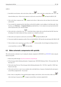1. From KiCad, start *Eeschema*, click on the *Library Editor* icon , click on the *Select working library* icon

choose the library *device*. Click on *Load component to edit from the current lib* icon **a**nd import the *RELAY\_2RT*.

- 2. Click on the *Export component* icon , navigate into the *library* folder and save the new library file with the name *myOwnLib.lib.*
- 3. You can make this component and the whole library *myOwnLib.lib* available to you by adding it to the library path. From *Eeschema*, go to **Preferences** → **Component Libraries** and add both *library/* in *User defined search path* and *myOwnLib.lib* in the *Component library files*. Close the window.
- 4. Click on the *Select working library* icon . In the Select Library window click on  $myOwnLib$  and click OK. Notice how the heading of the window indicates the library currently in use, it should be *myOwnLib*.
- 5. Click on the *Load component to edit from the current lib* icon **15.** and import the *RELAY* 2*RT*.
- 6. You can now modify the component as you like. Hover over the label *RELAY\_2RT*, press the e key and rename it *MY\_RELAY\_2RT*.
- 7. Click on *Update current component in current library* icon in the top toolbar. Save all changes by clicking on the *Save current loaded library on disk* icon in the top toolbar.

## **6.3 Make schematic components with quicklib**

This section presents an alternative way of creating the schematic component for MYCONN3 (see MYCONN3 above) using the Internet tool *quicklib*.

- <span id="page-41-0"></span>1. Head to the *quicklib* web page: http://kicad.rohrbacher.net/quicklib.php
- 2. Fill out the page with the following information: Component name: MYCONN3 Reference Prefix: J Pin Layout Style: SIL Pin Count, N: 3
- 3. Click on the *Assign Pins* icon. Fill out the page with the following information: Pin 1: VCC Pin 2: input Pin 3: GND. Type : Passive for all 3 pins.
- 4. Click on the icon *Preview it* and, if you are satisfied, click on the *Build Library Component*. Download the file and rename it *tutorial1/library/myQuickLib.lib.*. You are done!



5. Have a look at it using KiCad. From the KiCad project manager, start *Eeschema*, click on the *Library Editor* icon ,

click on the *Import Component* icon **...** navigate to *tutorial1/library/* and select *myQuickLib.lib.*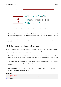

6. You can make this component and the whole library *myQuickLib.lib* available to you by adding it to the KiCad library path. From *Eeschema*, go to **Preferences** → **Component Libraries** and add *library* in *User defined search path* and *myQuickLib.lib* in *Component library files*.

As you might guess, this method of creating library components can be quite effective when you want to create components with a large pin count.

## **6.4 Make a high pin count schematic component**

In the section titled *Make Schematic Components in quicklib* we saw how to make a schematic component using the *quicklib* webbased tool. However, you will occasionally find that you need to create a schematic component with a high number of pins (some hundreds of pins). In KiCad, this is not a very complicated task.

- 1. Suppose that you want to create a schematic component for a device with 50 pins. It is common practise to draw it using multiple low pin-count drawings, for example two drawings with 25 pins each. This component representation allows for easy pin connection.
- 2. The best way to create our component is to use *quicklib* to generate two 25-pin components separately, re-number their pins using a Python script and finally merge the two by using copy and paste to make them into one single DEF and ENDDEF component.
- 3. You will find an example of a simple Python script below that can be used in conjunction with an *in.txt* file and an *out.txt* file to re-number the line: X PIN1 1 -750 600 300 R 50 50 1 1 I into X PIN26 26 -750 600 300 R 50 50 1 1 I this is done for all lines in the file *in.txt*.

### **Simple script**

```
#!/usr/bin/env python
''' simple script to manipulate KiCad component pins numbering'''
import sys, re
```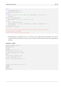```
try:
   fin=open(sys.argv[1],'r')
   fout=open(sys.argv[2],'w')
except:
   print "oh, wrong use of this app, try:", sys.argv[0], "in.txt out.txt"
   sys.exit()
for ln in fin.readlines():
   obj=re.search("(X PIN)(\d*)(\s)(\d*)(\s.*)",ln)
if obj:
   num = int(obj.qroup(2)) + 25ln=obj.group(1) + str(num) + obj.group(3) + str(num) + obj.group(5) +' \nfout.write(ln)
fin.close(); fout.close()
#
# for more info about regular expression syntax and KiCad component generation:
# http://gskinner.com/RegExr/
# http://kicad.rohrbacher.net/quicklib.php
```
1. While merging the two components into one, it is necessary to use the Library Editor from Eeschema to move the first component so that the second does not end up on top of it. Below you will find the final .lib file and its representation in *Eeschema*.

#### **Contents of a \*.lib file**

```
EESchema-LIBRARY Version 2.3
#encoding utf-8
# COMP
DEF COMP U 0 40 Y Y 1 F N
F0 "U" -1800 -100 50 H V C CNN
F1 "COMP" -1800 100 50 H V C CNN
DRAW
S -2250 -800 -1350 800 0 0 0 N
S -450 -800 450 800 0 0 0 N
X PIN1 1 -2550 600 300 R 50 50 1 1 I
...
```
X PIN49 49 750 -500 300 L 50 50 1 1 I ENDDRAW ENDDEF #End Library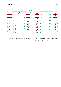|                                                                                          |                                                                                                                                                                                         |                                                                                                                                                                                      | COMP<br>412.                                                                          |                                                                                                       |                                                                                                                                                                                                                 |                                                                                                                                                                                              |                                                                              |
|------------------------------------------------------------------------------------------|-----------------------------------------------------------------------------------------------------------------------------------------------------------------------------------------|--------------------------------------------------------------------------------------------------------------------------------------------------------------------------------------|---------------------------------------------------------------------------------------|-------------------------------------------------------------------------------------------------------|-----------------------------------------------------------------------------------------------------------------------------------------------------------------------------------------------------------------|----------------------------------------------------------------------------------------------------------------------------------------------------------------------------------------------|------------------------------------------------------------------------------|
| 5<br>9<br><u>11</u><br>13<br>$-15$<br>17<br>$-19$<br>$\overline{21}$<br><u> 23</u><br>25 | 1/2<br>PIN <sub>1</sub><br>PIN3<br>PIN5<br>PIN7<br>PIN9<br><b>PIN11</b><br><b>PIN13</b><br><b>PIN15</b><br><b>PIN17</b><br><b>PIN19</b><br><b>PIN21</b><br><b>PIN23</b><br><b>PIN25</b> | PIN <sub>2</sub><br>PIN4<br>PIN6<br>PIN <sub>8</sub><br><b>PIN10</b><br><b>PIN12</b><br><b>PIN14</b><br><b>PIN16</b><br><b>PIN18</b><br><b>PIN20</b><br><b>PIN22</b><br><b>PIN24</b> | ь<br>8<br>10<br>12<br>14<br>16<br><u> 18</u><br>20 <sub>2</sub><br>$22^{\circ}$<br>24 | 26<br>$\overline{28}$<br>30<br>32<br><u>34</u><br><u>36</u><br>38<br>40<br>42<br>44<br>46<br>48<br>50 | $-2/2$<br><b>PIN26</b><br><b>PIN28</b><br><b>PIN30</b><br><b>PIN32</b><br><b>PIN34</b><br><b>PIN36</b><br>PIN38<br><b>PIN40</b><br><b>PIN42</b><br><b>PIN44</b><br><b>PIN46</b><br><b>PIN48</b><br><b>PIN50</b> | <b>PIN27</b><br><b>PIN29</b><br><b>PIN31</b><br><b>PIN33</b><br><b>PIN35</b><br><b>PIN37</b><br><b>PIN39</b><br><b>PIN41</b><br><b>PIN43</b><br><b>PIN45</b><br><b>PIN47</b><br><b>PIN49</b> | 27<br><u> 29</u><br>31<br>33<br>35<br>37<br>39<br>41<br>43<br>45<br>47<br>49 |

1. The Python script presented here is a very powerful tool for manipulating both pin numbers and pin labels. Mind, however, that all its power comes for the arcane and yet amazingly useful Regular Expression syntax: *http://gskinner.com/RegExr/.*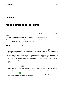# <span id="page-45-0"></span>**Make component footprints**

Unlike other EDA software tools, which have one type of library that contains both the schematic symbol and the footprint variations, KiCad *.lib* files contain schematic symbols and *.kicad\_mod* files contain footprints. *Cvpcb* is used to successfully map footprints to symbols.

As for *.lib* files, *.kicad\_mod* library files are text files that can contain anything from one to several parts.

There is an extensive footprint library with KiCad, however on occasion you might find that the footprint you need is not in the KiCad library. Here are the steps for creating a new PCB footprint in KiCad:

## **7.1 Using Footprint Editor**

- 1. From the KiCad project manager start the *Pcbnew* tool. Click on the *Open Footprint Editor* icon **1.11** on the top toolbar. This will open the *Footprint Editor*.
- 2. We are going to save the new footprint *MYCONN3* in the new footprint library *myfootprint*. Create a new folder *myfootprint.pretty* in the *tutorial1/* project folder. Click on the **Preferences** → **Footprint Libraries Manager** and press *Append Library* button. In the table, enter "myfootprint" as Nickname, enter "\${KIPRJMOD}/myfootprint.pretty" as Library Path and enter "KiCad" as Plugin Type. Press OK to close the PCB Library Tables window. Click on the *Select active library* icon

on the top toolbar. Select the *myfootprint* library.

- 3. Click on the *New Footprint* icon **THP** on the top toolbar. Type *MYCONN3* as the *footprint name*. In the middle of the screen the *MYCONN3* label will appear. Under the label you can see the *REF\* label. Right click on* MYCONN3 *and move it above* REF\*. Right click on *REF\_\_\**, select *Edit Text* and rename it to *SMD*. Set the *Display* value to *Invisible*.
- 4. Select the *Add Pads* icon on the right toolbar. Click on the working sheet to place the pad. Right click on the new pad and click *Edit Pad*. You can otherwise use the e key shortcut.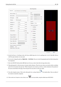|                                                                                                                                                                                  |                                                                             |                                                              | <b>Pad Properties</b>                                                                                                                                                                                                                          |
|----------------------------------------------------------------------------------------------------------------------------------------------------------------------------------|-----------------------------------------------------------------------------|--------------------------------------------------------------|------------------------------------------------------------------------------------------------------------------------------------------------------------------------------------------------------------------------------------------------|
| General                                                                                                                                                                          | <b>Local Clearance and Settings</b>                                         |                                                              |                                                                                                                                                                                                                                                |
| Pad number: 1<br>Net name:<br>Pad type:<br>Shape:<br>Position X:<br>Position Y:<br>Size X:<br>Size Y:<br>Orientation:                                                            | <b>SMD</b><br>Rectangular<br>1.27<br>$-1.27$<br>0.4<br>0.8<br>Δ<br>0<br>v i | ▲<br>₩<br>Δ.<br>A<br>mm<br>mm<br>mm<br>m <sub>m</sub><br>deg | <b>Drill-</b><br>A.<br>Circular<br>Shape:<br>$\overline{\mathbf{v}}$<br>0.762<br>Size X:<br>mm<br>0.762<br>Size Y:<br>mm<br>Layers-<br>4<br>F.Cu<br>Copper:<br>v<br>Technical Layers<br><b>F.Adhes</b><br><b>B.Adhes</b><br>$\sqrt{}$ F. Paste |
| Shape offset X:<br>Shape offset Y:<br>Pad to die length: 0<br>Trap. delta dim:<br>Trap. direction:<br>Parent footprint orientation<br>Rotation:<br>0.0<br>Board side: Front side | 0<br>$\pmb{0}$<br>0<br>$\circ$<br>A.<br>Vert.<br>$\overline{\mathbf{v}}$    | 0.1 <sub>deg</sub><br>mm<br>mm<br>mm<br>mm                   | <b>B.Paste</b><br><b>F.SilkS</b><br><b>B.SilkS</b><br>$\blacktriangledown$ F.Mask<br><b>B.Mask</b><br>Dwgs.User<br>Eco1.User<br>Eco2.User                                                                                                      |
|                                                                                                                                                                                  |                                                                             |                                                              | ∉Jok<br>$\times$ Cancel                                                                                                                                                                                                                        |

- 5. Set the *Pad Num* to *1*, *Pad Shape* to *Rect*, *Pad Type* to *SMD*, *Shape Size X* to *0.4*, and *Shape Size Y* to *0.8*. Click OK. Click on *Add Pads* again and place two more pads.
- 6. If you want to change the grid size, **Right click** → **Grid Select**. Be sure to select the appropriate grid size before laying down the components.
- 7. Move the *MYCONN3* label and the *SMD* label out of the way so that it looks like the image shown above.
- 8. When placing pads it is often necessary to measure relative distances. Place the cursor where you want the relative coordinate point (0,0) to be and press the space bar. While moving the cursor around, you will see a relative indication of the position of the cursor at the bottom of the page. Press the space bar at any time to set the new origin.
- 9. Now add a footprint contour. Click on the *Add graphic line or polygon* button in the right toolbar. Draw an outline of the connector around the component.
- 10. Click on the *Save Footprint in Active Library* icon **on** the top toolbar, using the default name MYCONN3.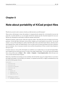# <span id="page-47-0"></span>**Note about portability of KiCad project files**

What files do you need to send to someone so that they can fully load and use your KiCad project?

When you have a KiCad project to share with somebody, it is important that the schematic file *.sch*, the board file *.kicad\_pcb*, the project file *.pro* and the netlist file *.net*, are sent together with both the schematic parts file *.lib* and the footprints file *.kicad mod.* Only this way will people have total freedom to modify the schematic and the board.

With KiCad schematics, people need the *.lib* files that contain the symbols. Those library files need to be loaded in the *Eeschema* preferences. On the other hand, with boards (*.kicad\_pcb* files), footprints can be stored inside the *.kicad\_pcb* file. You can send someone a *.kicad\_pcb* file and nothing else, and they would still be able to look at and edit the board. However, when they want to load components from a netlist, the footprint libraries (*.kicad\_mod* files) need to be present and loaded in the *Pcbnew* preferences just as for schematics. Also, it is necessary to load the *.kicad\_mod* files in the preferences of *Pcbnew* in order for those footprints to show up in *Cvpcb*.

If someone sends you a *.kicad\_pcb* file with footprints you would like to use in another board, you can open the Footprint Editor, load a footprint from the current board, and save or export it into another footprint library. You can also export all the footprints from a *.kicad\_pcb* file at once via **Pcbnew** → **File** → **Archive** → **Footprints** → **Create footprint archive**, which will create a new *.kicad\_mod* file with all the board's footprints.

Bottom line, if the PCB is the only thing you want to distribute, then the board file *.kicad\_pcb* is enough. However, if you want to give people the full ability to use and modify your schematic, its components and the PCB, it is highly recommended that you zip and send the following project directory:

```
tutorial1/
|-- tutorial1.pro
|-- tutorial1.sch
|-- tutorial1.kicad_pcb
|-- tutorial1.net
|-- library/
    | |-- myLib.lib
    | |-- myOwnLib.lib
    | \-- myQuickLib.lib
\vert|-- myfootprint.pretty/
    | \-- MYCONN3.kicad_mod
```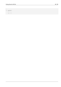```
|
\-- gerber
/
   |--...\lambda-- ...
```